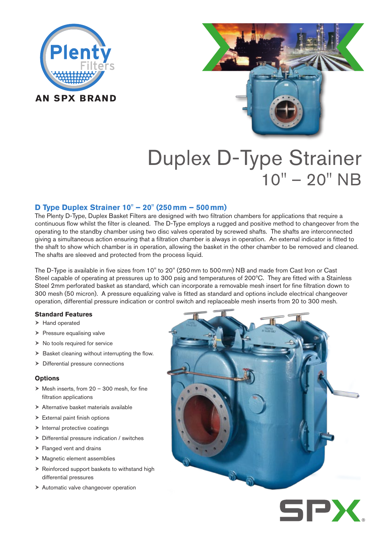



# Duplex D-Type Strainer 10" – 20" NB

# **D Type Duplex Strainer 10" – 20" (250mm – 500mm)**

The Plenty D-Type, Duplex Basket Filters are designed with two filtration chambers for applications that require a continuous flow whilst the filter is cleaned. The D-Type employs a rugged and positive method to changeover from the operating to the standby chamber using two disc valves operated by screwed shafts. The shafts are interconnected giving a simultaneous action ensuring that a filtration chamber is always in operation. An external indicator is fitted to the shaft to show which chamber is in operation, allowing the basket in the other chamber to be removed and cleaned. The shafts are sleeved and protected from the process liquid.

The D-Type is available in five sizes from 10" to 20" (250mm to 500mm) NB and made from Cast Iron or Cast Steel capable of operating at pressures up to 300 psig and temperatures of 200ºC. They are fitted with a Stainless Steel 2mm perforated basket as standard, which can incorporate a removable mesh insert for fine filtration down to 300 mesh (50 micron). A pressure equalizing valve is fitted as standard and options include electrical changeover operation, differential pressure indication or control switch and replaceable mesh inserts from 20 to 300 mesh.

## **Standard Features**

- > Hand operated
- $\triangleright$  Pressure equalising valve
- $\triangleright$  No tools required for service
- $\triangleright$  Basket cleaning without interrupting the flow.
- > Differential pressure connections

## **Options**

- $\triangleright$  Mesh inserts, from 20 300 mesh, for fine filtration applications
- Alternative basket materials available
- $\triangleright$  External paint finish options
- $\blacktriangleright$  Internal protective coatings
- $\triangleright$  Differential pressure indication / switches
- Flanged vent and drains
- Magnetic element assemblies
- $\triangleright$  Reinforced support baskets to withstand high differential pressures
- > Automatic valve changeover operation